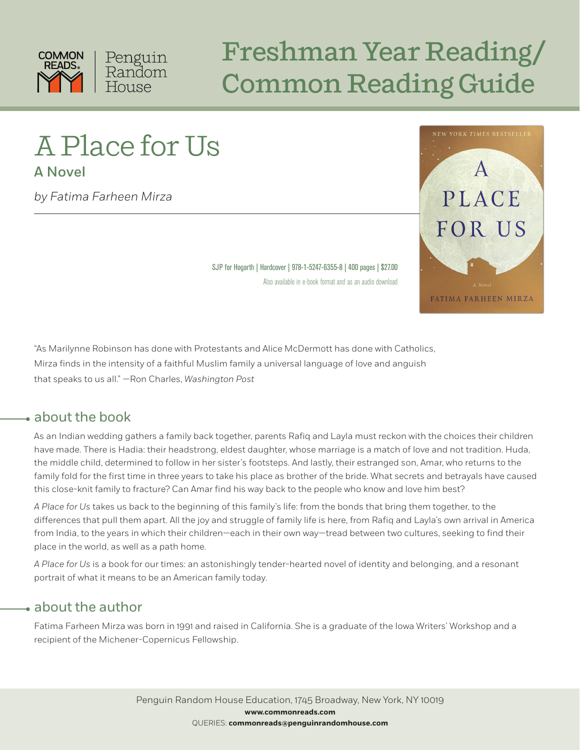

## Freshman Year Reading/ Common Reading Guide

# A Place for Us

A Novel

*by Fatima Farheen Mirza*



SJP for Hogarth | Hardcover | 978-1-5247-6355-8 | 400 pages | \$27.00 Also available in e-book format and as an audio download

"As Marilynne Robinson has done with Protestants and Alice McDermott has done with Catholics, Mirza finds in the intensity of a faithful Muslim family a universal language of love and anguish that speaks to us all." —Ron Charles, *Washington Post*

#### about the book

As an Indian wedding gathers a family back together, parents Rafiq and Layla must reckon with the choices their children have made. There is Hadia: their headstrong, eldest daughter, whose marriage is a match of love and not tradition. Huda, the middle child, determined to follow in her sister's footsteps. And lastly, their estranged son, Amar, who returns to the family fold for the first time in three years to take his place as brother of the bride. What secrets and betrayals have caused this close-knit family to fracture? Can Amar find his way back to the people who know and love him best?

*A Place for Us* takes us back to the beginning of this family's life: from the bonds that bring them together, to the differences that pull them apart. All the joy and struggle of family life is here, from Rafiq and Layla's own arrival in America from India, to the years in which their children—each in their own way—tread between two cultures, seeking to find their place in the world, as well as a path home.

*A Place for Us* is a book for our times: an astonishingly tender-hearted novel of identity and belonging, and a resonant portrait of what it means to be an American family today.

#### about the author

Fatima Farheen Mirza was born in 1991 and raised in California. She is a graduate of the Iowa Writers' Workshop and a recipient of the Michener-Copernicus Fellowship.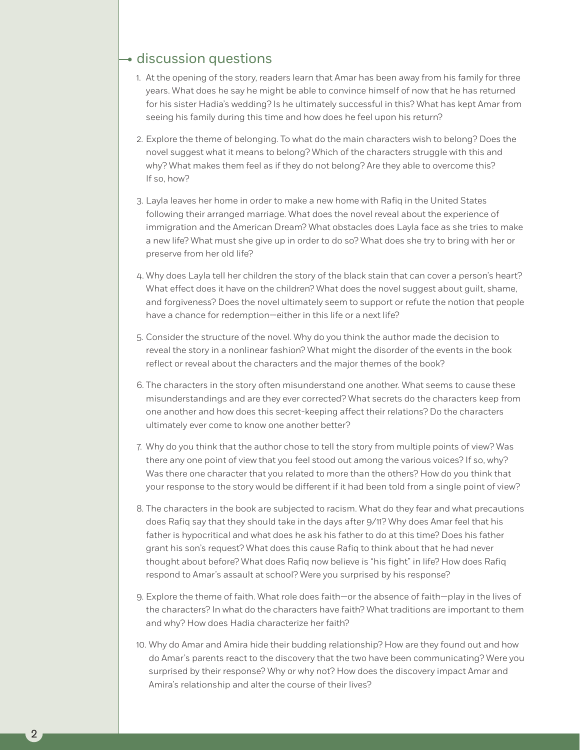#### discussion questions

2

- 1. At the opening of the story, readers learn that Amar has been away from his family for three years. What does he say he might be able to convince himself of now that he has returned for his sister Hadia's wedding? Is he ultimately successful in this? What has kept Amar from seeing his family during this time and how does he feel upon his return?
- 2. Explore the theme of belonging. To what do the main characters wish to belong? Does the novel suggest what it means to belong? Which of the characters struggle with this and why? What makes them feel as if they do not belong? Are they able to overcome this? If so, how?
- 3. Layla leaves her home in order to make a new home with Rafiq in the United States following their arranged marriage. What does the novel reveal about the experience of immigration and the American Dream? What obstacles does Layla face as she tries to make a new life? What must she give up in order to do so? What does she try to bring with her or preserve from her old life?
- 4. Why does Layla tell her children the story of the black stain that can cover a person's heart? What effect does it have on the children? What does the novel suggest about guilt, shame, and forgiveness? Does the novel ultimately seem to support or refute the notion that people have a chance for redemption—either in this life or a next life?
- 5. Consider the structure of the novel. Why do you think the author made the decision to reveal the story in a nonlinear fashion? What might the disorder of the events in the book reflect or reveal about the characters and the major themes of the book?
- 6. The characters in the story often misunderstand one another. What seems to cause these misunderstandings and are they ever corrected? What secrets do the characters keep from one another and how does this secret-keeping affect their relations? Do the characters ultimately ever come to know one another better?
- 7. Why do you think that the author chose to tell the story from multiple points of view? Was there any one point of view that you feel stood out among the various voices? If so, why? Was there one character that you related to more than the others? How do you think that your response to the story would be different if it had been told from a single point of view?
- 8. The characters in the book are subjected to racism. What do they fear and what precautions does Rafiq say that they should take in the days after 9/11? Why does Amar feel that his father is hypocritical and what does he ask his father to do at this time? Does his father grant his son's request? What does this cause Rafiq to think about that he had never thought about before? What does Rafiq now believe is "his fight" in life? How does Rafiq respond to Amar's assault at school? Were you surprised by his response?
- 9. Explore the theme of faith. What role does faith—or the absence of faith—play in the lives of the characters? In what do the characters have faith? What traditions are important to them and why? How does Hadia characterize her faith?
- 10. Why do Amar and Amira hide their budding relationship? How are they found out and how do Amar's parents react to the discovery that the two have been communicating? Were you surprised by their response? Why or why not? How does the discovery impact Amar and Amira's relationship and alter the course of their lives?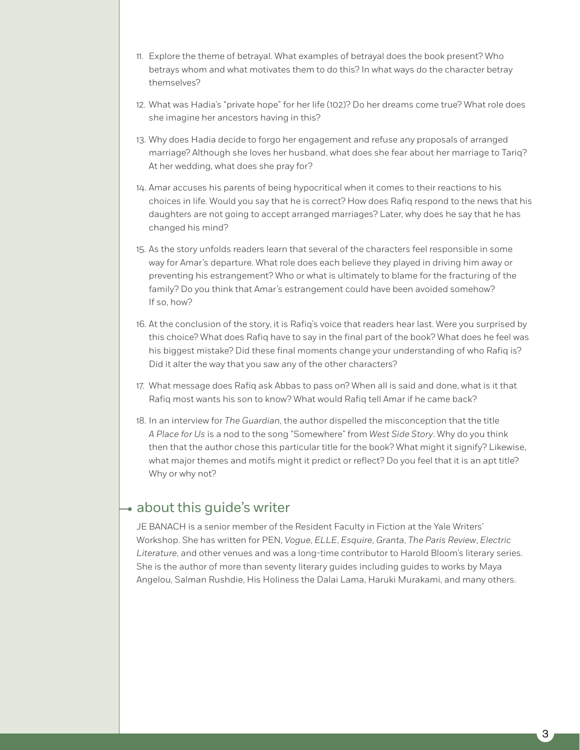- 11. Explore the theme of betrayal. What examples of betrayal does the book present? Who betrays whom and what motivates them to do this? In what ways do the character betray themselves?
- 12. What was Hadia's "private hope" for her life (102)? Do her dreams come true? What role does she imagine her ancestors having in this?
- 13. Why does Hadia decide to forgo her engagement and refuse any proposals of arranged marriage? Although she loves her husband, what does she fear about her marriage to Tariq? At her wedding, what does she pray for?
- 14. Amar accuses his parents of being hypocritical when it comes to their reactions to his choices in life. Would you say that he is correct? How does Rafiq respond to the news that his daughters are not going to accept arranged marriages? Later, why does he say that he has changed his mind?
- 15. As the story unfolds readers learn that several of the characters feel responsible in some way for Amar's departure. What role does each believe they played in driving him away or preventing his estrangement? Who or what is ultimately to blame for the fracturing of the family? Do you think that Amar's estrangement could have been avoided somehow? If so, how?
- 16. At the conclusion of the story, it is Rafiq's voice that readers hear last. Were you surprised by this choice? What does Rafiq have to say in the final part of the book? What does he feel was his biggest mistake? Did these final moments change your understanding of who Rafiq is? Did it alter the way that you saw any of the other characters?
- 17. What message does Rafiq ask Abbas to pass on? When all is said and done, what is it that Rafiq most wants his son to know? What would Rafiq tell Amar if he came back?
- 18. In an interview for *The Guardian*, the author dispelled the misconception that the title *A Place for Us* is a nod to the song "Somewhere" from *West Side Story*. Why do you think then that the author chose this particular title for the book? What might it signify? Likewise, what major themes and motifs might it predict or reflect? Do you feel that it is an apt title? Why or why not?

### • about this guide's writer

JE BANACH is a senior member of the Resident Faculty in Fiction at the Yale Writers' Workshop. She has written for PEN, *Vogue*, *ELLE*, *Esquire*, *Granta*, *The Paris Review*, *Electric Literature*, and other venues and was a long-time contributor to Harold Bloom's literary series. She is the author of more than seventy literary guides including guides to works by Maya Angelou, Salman Rushdie, His Holiness the Dalai Lama, Haruki Murakami, and many others.